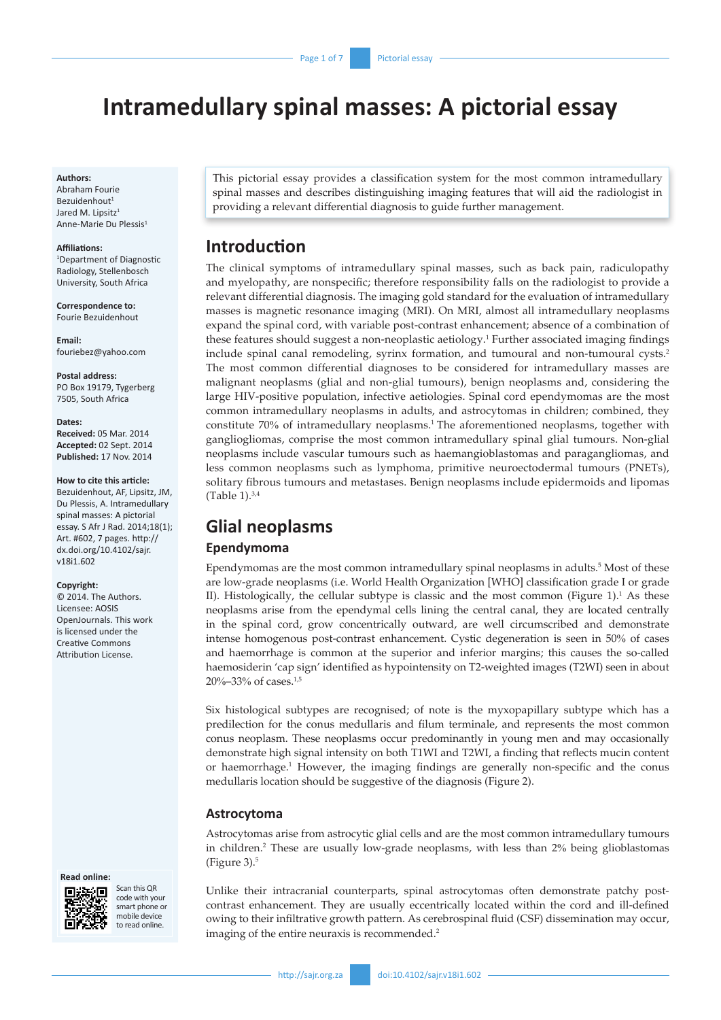# **Intramedullary spinal masses: A pictorial essay**

#### **Authors:**

Abraham Fourie Bezuidenhout<sup>1</sup> Jared M. Lipsitz<sup>1</sup> Anne-Marie Du Plessis1

#### **Affiliations:**

1 Department of Diagnostic Radiology, Stellenbosch University, South Africa

**Correspondence to:** Fourie Bezuidenhout

**Email:** [fouriebez@yahoo.com](mailto:fouriebez@yahoo.com)

**Postal address:** PO Box 19179, Tygerberg 7505, South Africa

#### **Dates:**

**Received:** 05 Mar. 2014 **Accepted:** 02 Sept. 2014 **Published:** 17 Nov. 2014

#### **How to cite this article:**

Bezuidenhout, AF, Lipsitz, JM, Du Plessis, A. Intramedullary spinal masses: A pictorial essay. S Afr J Rad. 2014;18(1); Art. #602, 7 pages. [http://](http://dx.doi.org/10.4102/sajr.v18i1.602) [dx.doi.org/10.4102/sajr.](http://dx.doi.org/10.4102/sajr.v18i1.602) [v18i1.602](http://dx.doi.org/10.4102/sajr.v18i1.602)

#### **Copyright:**

© 2014. The Authors. Licensee: AOSIS OpenJournals. This work is licensed under the Creative Commons Attribution License.





Scan this QR code with your smart phone or mobile device to read online

This pictorial essay provides a classification system for the most common intramedullary spinal masses and describes distinguishing imaging features that will aid the radiologist in providing a relevant differential diagnosis to guide further management.

# **Introduction**

The clinical symptoms of intramedullary spinal masses, such as back pain, radiculopathy and myelopathy, are nonspecific; therefore responsibility falls on the radiologist to provide a relevant differential diagnosis. The imaging gold standard for the evaluation of intramedullary masses is magnetic resonance imaging (MRI). On MRI, almost all intramedullary neoplasms expand the spinal cord, with variable post-contrast enhancement; absence of a combination of these features should suggest a non-neoplastic aetiology.<sup>1</sup> Further associated imaging findings include spinal canal remodeling, syrinx formation, and tumoural and non-tumoural cysts.2 The most common differential diagnoses to be considered for intramedullary masses are malignant neoplasms (glial and non-glial tumours), benign neoplasms and, considering the large HIV-positive population, infective aetiologies. Spinal cord ependymomas are the most common intramedullary neoplasms in adults, and astrocytomas in children; combined, they constitute 70% of intramedullary neoplasms.1 The aforementioned neoplasms, together with gangliogliomas, comprise the most common intramedullary spinal glial tumours. Non-glial neoplasms include vascular tumours such as haemangioblastomas and paragangliomas, and less common neoplasms such as lymphoma, primitive neuroectodermal tumours (PNETs), solitary fibrous tumours and metastases. Benign neoplasms include epidermoids and lipomas (Table 1). $3,4$ 

# **Glial neoplasms Ependymoma**

Ependymomas are the most common intramedullary spinal neoplasms in adults.<sup>5</sup> Most of these are low-grade neoplasms (i.e. World Health Organization [WHO] classification grade I or grade II). Histologically, the cellular subtype is classic and the most common (Figure  $1$ ).<sup>1</sup> As these neoplasms arise from the ependymal cells lining the central canal, they are located centrally in the spinal cord, grow concentrically outward, are well circumscribed and demonstrate intense homogenous post-contrast enhancement. Cystic degeneration is seen in 50% of cases and haemorrhage is common at the superior and inferior margins; this causes the so-called haemosiderin 'cap sign' identified as hypointensity on T2-weighted images (T2WI) seen in about 20%–33% of cases.1,5

Six histological subtypes are recognised; of note is the myxopapillary subtype which has a predilection for the conus medullaris and filum terminale, and represents the most common conus neoplasm. These neoplasms occur predominantly in young men and may occasionally demonstrate high signal intensity on both T1WI and T2WI, a finding that reflects mucin content or haemorrhage.<sup>1</sup> However, the imaging findings are generally non-specific and the conus medullaris location should be suggestive of the diagnosis (Figure 2).

#### **Astrocytoma**

Astrocytomas arise from astrocytic glial cells and are the most common intramedullary tumours in children.2 These are usually low-grade neoplasms, with less than 2% being glioblastomas (Figure 3). $5$ 

Unlike their intracranial counterparts, spinal astrocytomas often demonstrate patchy postcontrast enhancement. They are usually eccentrically located within the cord and ill-defined owing to their infiltrative growth pattern. As cerebrospinal fluid (CSF) dissemination may occur, imaging of the entire neuraxis is recommended.<sup>2</sup>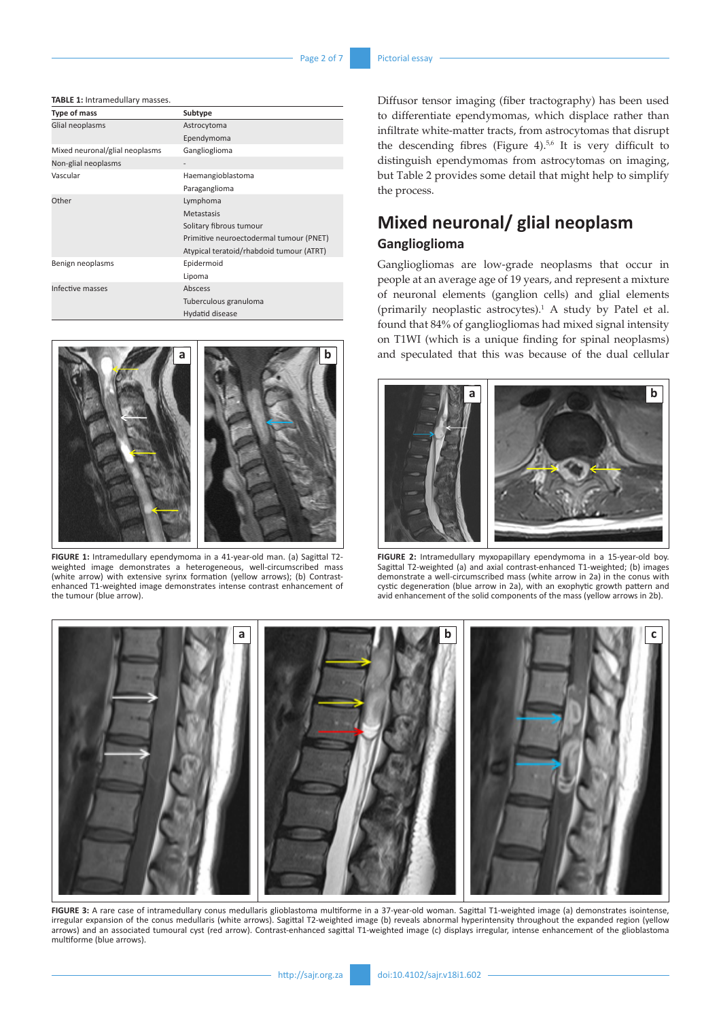**TABLE 1:** Intramedullary masses.

| Type of mass                   | Subtype                                  |
|--------------------------------|------------------------------------------|
| Glial neoplasms                | Astrocytoma                              |
|                                | Ependymoma                               |
| Mixed neuronal/glial neoplasms | Ganglioglioma                            |
| Non-glial neoplasms            |                                          |
| Vascular                       | Haemangioblastoma                        |
|                                | Paraganglioma                            |
| Other                          | Lymphoma                                 |
|                                | Metastasis                               |
|                                | Solitary fibrous tumour                  |
|                                | Primitive neuroectodermal tumour (PNET)  |
|                                | Atypical teratoid/rhabdoid tumour (ATRT) |
| Benign neoplasms               | Epidermoid                               |
|                                | Lipoma                                   |
| Infective masses               | Abscess                                  |
|                                | Tuberculous granuloma                    |
|                                | Hydatid disease                          |



**FIGURE 1:** Intramedullary ependymoma in a 41-year-old man. (a) Sagittal T2 weighted image demonstrates a heterogeneous, well-circumscribed mass (white arrow) with extensive syrinx formation (yellow arrows); (b) Contrastenhanced T1-weighted image demonstrates intense contrast enhancement of the tumour (blue arrow).

Diffusor tensor imaging (fiber tractography) has been used to differentiate ependymomas, which displace rather than infiltrate white-matter tracts, from astrocytomas that disrupt the descending fibres (Figure 4).<sup>5,6</sup> It is very difficult to distinguish ependymomas from astrocytomas on imaging, but Table 2 provides some detail that might help to simplify the process.

# **Mixed neuronal/ glial neoplasm Ganglioglioma**

Gangliogliomas are low-grade neoplasms that occur in people at an average age of 19 years, and represent a mixture of neuronal elements (ganglion cells) and glial elements (primarily neoplastic astrocytes). $<sup>1</sup>$  A study by Patel et al.</sup> found that 84% of gangliogliomas had mixed signal intensity on T1WI (which is a unique finding for spinal neoplasms) and speculated that this was because of the dual cellular



**FIGURE 2:** Intramedullary myxopapillary ependymoma in a 15-year-old boy. Sagittal T2-weighted (a) and axial contrast-enhanced T1-weighted; (b) images demonstrate a well-circumscribed mass (white arrow in 2a) in the conus with cystic degeneration (blue arrow in 2a), with an exophytic growth pattern and avid enhancement of the solid components of the mass (yellow arrows in 2b).



**FIGURE 3:** A rare case of intramedullary conus medullaris glioblastoma multiforme in a 37-year-old woman. Sagittal T1-weighted image (a) demonstrates isointense, irregular expansion of the conus medullaris (white arrows). Sagittal T2-weighted image (b) reveals abnormal hyperintensity throughout the expanded region (yellow arrows) and an associated tumoural cyst (red arrow). Contrast-enhanced sagittal T1-weighted image (c) displays irregular, intense enhancement of the glioblastoma multiforme (blue arrows).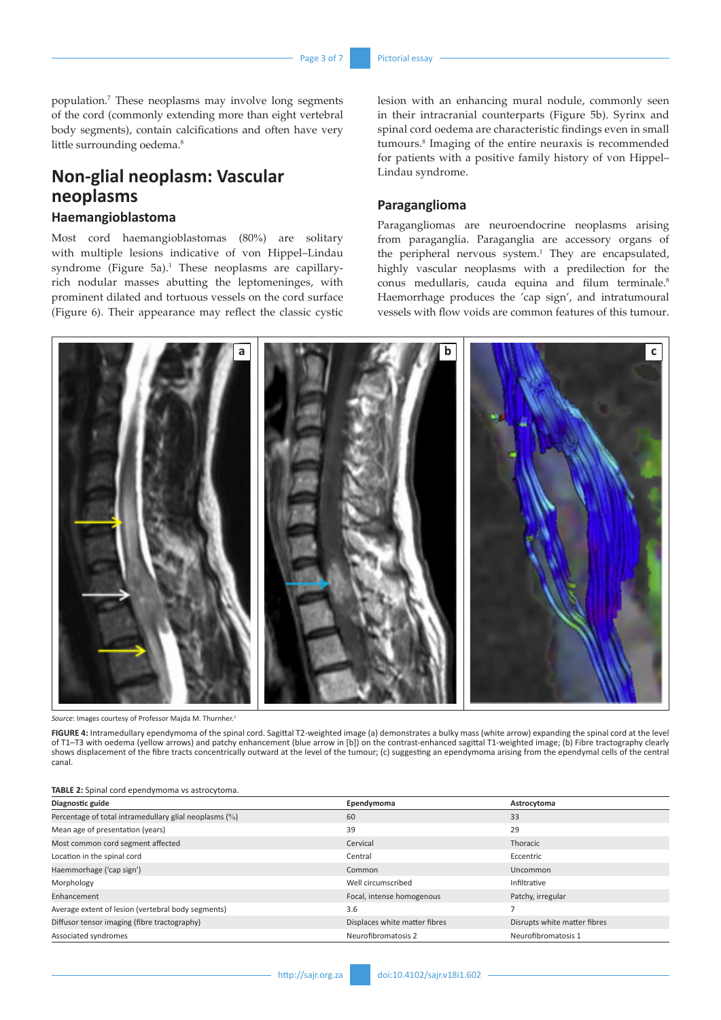population.7 These neoplasms may involve long segments of the cord (commonly extending more than eight vertebral body segments), contain calcifications and often have very little surrounding oedema.<sup>8</sup>

# **Non-glial neoplasm: Vascular neoplasms**

## **Haemangioblastoma**

Most cord haemangioblastomas (80%) are solitary with multiple lesions indicative of von Hippel–Lindau syndrome (Figure 5a). $^1$  These neoplasms are capillaryrich nodular masses abutting the leptomeninges, with prominent dilated and tortuous vessels on the cord surface (Figure 6). Their appearance may reflect the classic cystic lesion with an enhancing mural nodule, commonly seen in their intracranial counterparts (Figure 5b). Syrinx and spinal cord oedema are characteristic findings even in small tumours.8 Imaging of the entire neuraxis is recommended for patients with a positive family history of von Hippel– Lindau syndrome.

### **Paraganglioma**

Paragangliomas are neuroendocrine neoplasms arising from paraganglia. Paraganglia are accessory organs of the peripheral nervous system.<sup>1</sup> They are encapsulated, highly vascular neoplasms with a predilection for the conus medullaris, cauda equina and filum terminale.<sup>8</sup> Haemorrhage produces the 'cap sign', and intratumoural vessels with flow voids are common features of this tumour.



*Source*: Images courtesy of Professor Majda M. Thurnher.

**FIGURE 4:** Intramedullary ependymoma of the spinal cord. Sagittal T2-weighted image (a) demonstrates a bulky mass (white arrow) expanding the spinal cord at the level of T1–T3 with oedema (yellow arrows) and patchy enhancement (blue arrow in [b]) on the contrast-enhanced sagittal T1-weighted image; (b) Fibre tractography clearly shows displacement of the fibre tracts concentrically outward at the level of the tumour; (c) suggesting an ependymoma arising from the ependymal cells of the central canal.

#### **TABLE 2:** Spinal cord ependymoma vs astrocytoma.

| Diagnostic guide                                       | Ependymoma                    | Astrocytoma                  |
|--------------------------------------------------------|-------------------------------|------------------------------|
| Percentage of total intramedullary glial neoplasms (%) | 60                            | 33                           |
| Mean age of presentation (years)                       | 39                            | 29                           |
| Most common cord segment affected                      | Cervical                      | Thoracic                     |
| Location in the spinal cord                            | Central                       | Eccentric                    |
| Haemmorhage ('cap sign')                               | Common                        | Uncommon                     |
| Morphology                                             | Well circumscribed            | Infiltrative                 |
| Enhancement                                            | Focal, intense homogenous     | Patchy, irregular            |
| Average extent of lesion (vertebral body segments)     | 3.6                           | -                            |
| Diffusor tensor imaging (fibre tractography)           | Displaces white matter fibres | Disrupts white matter fibres |
| Associated syndromes                                   | Neurofibromatosis 2           | Neurofibromatosis 1          |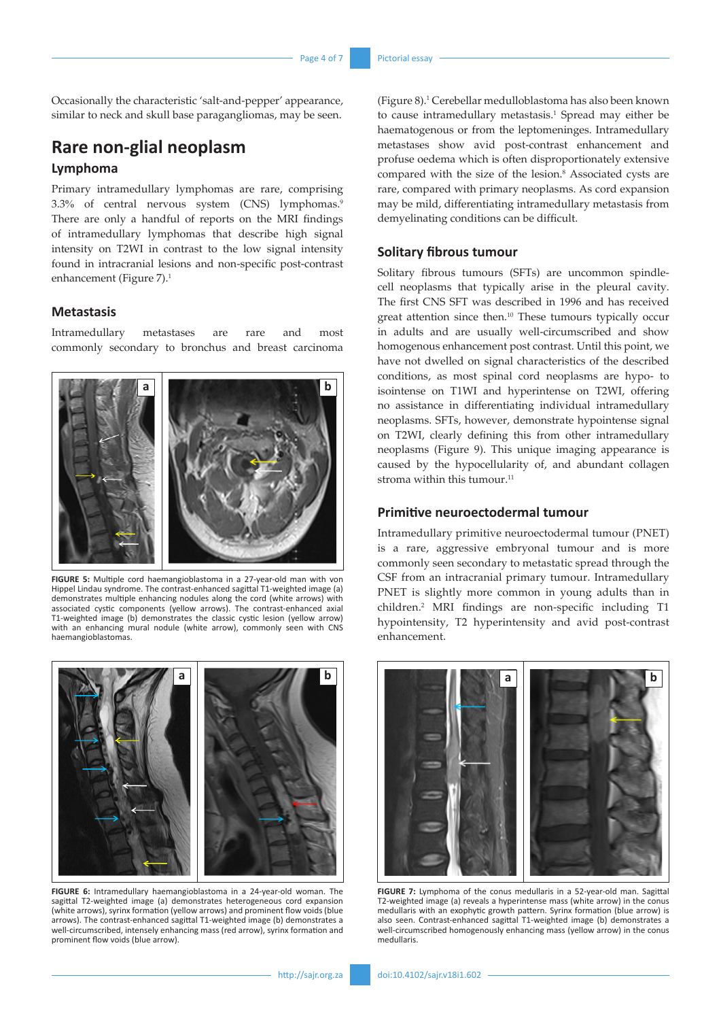Occasionally the characteristic 'salt-and-pepper' appearance, similar to neck and skull base paragangliomas, may be seen.

# **Rare non-glial neoplasm Lymphoma**

Primary intramedullary lymphomas are rare, comprising 3.3% of central nervous system (CNS) lymphomas.9 There are only a handful of reports on the MRI findings of intramedullary lymphomas that describe high signal intensity on T2WI in contrast to the low signal intensity found in intracranial lesions and non-specific post-contrast enhancement (Figure 7).<sup>1</sup>

## **Metastasis**

Intramedullary metastases are rare and most commonly secondary to bronchus and breast carcinoma



**FIGURE 5:** Multiple cord haemangioblastoma in a 27-year-old man with von Hippel Lindau syndrome. The contrast-enhanced sagittal T1-weighted image (a) demonstrates multiple enhancing nodules along the cord (white arrows) with associated cystic components (yellow arrows). The contrast-enhanced axial T1-weighted image (b) demonstrates the classic cystic lesion (yellow arrow) with an enhancing mural nodule (white arrow), commonly seen with CNS haemangioblastomas.



**FIGURE 6:** Intramedullary haemangioblastoma in a 24-year-old woman. The sagittal T2-weighted image (a) demonstrates heterogeneous cord expansion (white arrows), syrinx formation (yellow arrows) and prominent flow voids (blue arrows). The contrast-enhanced sagittal T1-weighted image (b) demonstrates a well-circumscribed, intensely enhancing mass (red arrow), syrinx formation and prominent flow voids (blue arrow).

(Figure 8).1 Cerebellar medulloblastoma has also been known to cause intramedullary metastasis.<sup>1</sup> Spread may either be haematogenous or from the leptomeninges. Intramedullary metastases show avid post-contrast enhancement and profuse oedema which is often disproportionately extensive compared with the size of the lesion.<sup>8</sup> Associated cysts are rare, compared with primary neoplasms. As cord expansion may be mild, differentiating intramedullary metastasis from demyelinating conditions can be difficult.

#### **Solitary fibrous tumour**

Solitary fibrous tumours (SFTs) are uncommon spindlecell neoplasms that typically arise in the pleural cavity. The first CNS SFT was described in 1996 and has received great attention since then.10 These tumours typically occur in adults and are usually well-circumscribed and show homogenous enhancement post contrast. Until this point, we have not dwelled on signal characteristics of the described conditions, as most spinal cord neoplasms are hypo- to isointense on T1WI and hyperintense on T2WI, offering no assistance in differentiating individual intramedullary neoplasms. SFTs, however, demonstrate hypointense signal on T2WI, clearly defining this from other intramedullary neoplasms (Figure 9). This unique imaging appearance is caused by the hypocellularity of, and abundant collagen stroma within this tumour.<sup>11</sup>

### **Primitive neuroectodermal tumour**

Intramedullary primitive neuroectodermal tumour (PNET) is a rare, aggressive embryonal tumour and is more commonly seen secondary to metastatic spread through the CSF from an intracranial primary tumour. Intramedullary PNET is slightly more common in young adults than in children.2 MRI findings are non-specific including T1 hypointensity, T2 hyperintensity and avid post-contrast enhancement.



**FIGURE 7:** Lymphoma of the conus medullaris in a 52-year-old man. Sagittal T2-weighted image (a) reveals a hyperintense mass (white arrow) in the conus medullaris with an exophytic growth pattern. Syrinx formation (blue arrow) is also seen. Contrast-enhanced sagittal T1-weighted image (b) demonstrates a well-circumscribed homogenously enhancing mass (yellow arrow) in the conus medullaris.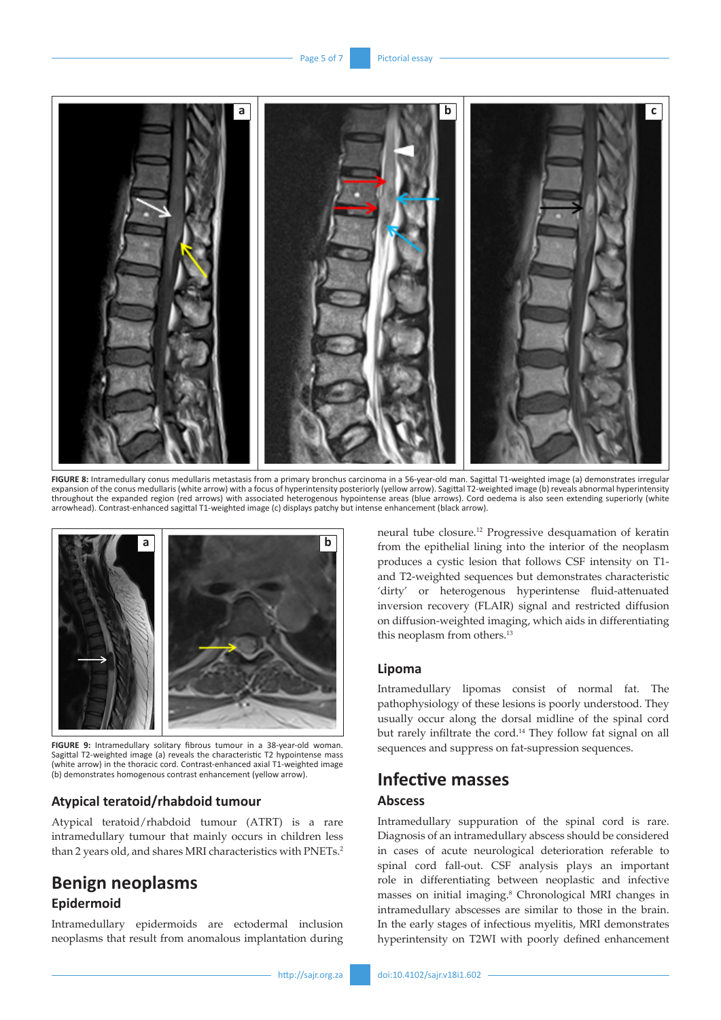

FIGURE 8: Intramedullary conus medullaris metastasis from a primary bronchus carcinoma in a 56-year-old man. Sagittal T1-weighted image (a) demonstrates irregular expansion of the conus medullaris (white arrow) with a focus of hyperintensity posteriorly (yellow arrow). Sagittal T2-weighted image (b) reveals abnormal hyperintensity throughout the expanded region (red arrows) with associated heterogenous hypointense areas (blue arrows). Cord oedema is also seen extending superiorly (white arrowhead). Contrast-enhanced sagittal T1-weighted image (c) displays patchy but intense enhancement (black arrow).



**FIGURE 9:** Intramedullary solitary fibrous tumour in a 38-year-old woman. Sagittal T2-weighted image (a) reveals the characteristic T2 hypointense mass (white arrow) in the thoracic cord. Contrast-enhanced axial T1-weighted image (b) demonstrates homogenous contrast enhancement (yellow arrow).

### **Atypical teratoid/rhabdoid tumour**

Atypical teratoid/rhabdoid tumour (ATRT) is a rare intramedullary tumour that mainly occurs in children less than 2 years old, and shares MRI characteristics with PNETs.<sup>2</sup>

# **Benign neoplasms Epidermoid**

Intramedullary epidermoids are ectodermal inclusion neoplasms that result from anomalous implantation during neural tube closure.12 Progressive desquamation of keratin from the epithelial lining into the interior of the neoplasm produces a cystic lesion that follows CSF intensity on T1 and T2-weighted sequences but demonstrates characteristic 'dirty' or heterogenous hyperintense fluid-attenuated inversion recovery (FLAIR) signal and restricted diffusion on diffusion-weighted imaging, which aids in differentiating this neoplasm from others.<sup>13</sup>

### **Lipoma**

Intramedullary lipomas consist of normal fat. The pathophysiology of these lesions is poorly understood. They usually occur along the dorsal midline of the spinal cord but rarely infiltrate the cord.<sup>14</sup> They follow fat signal on all sequences and suppress on fat-supression sequences.

## **Infective masses**

## **Abscess**

Intramedullary suppuration of the spinal cord is rare. Diagnosis of an intramedullary abscess should be considered in cases of acute neurological deterioration referable to spinal cord fall-out. CSF analysis plays an important role in differentiating between neoplastic and infective masses on initial imaging.8 Chronological MRI changes in intramedullary abscesses are similar to those in the brain. In the early stages of infectious myelitis, MRI demonstrates hyperintensity on T2WI with poorly defined enhancement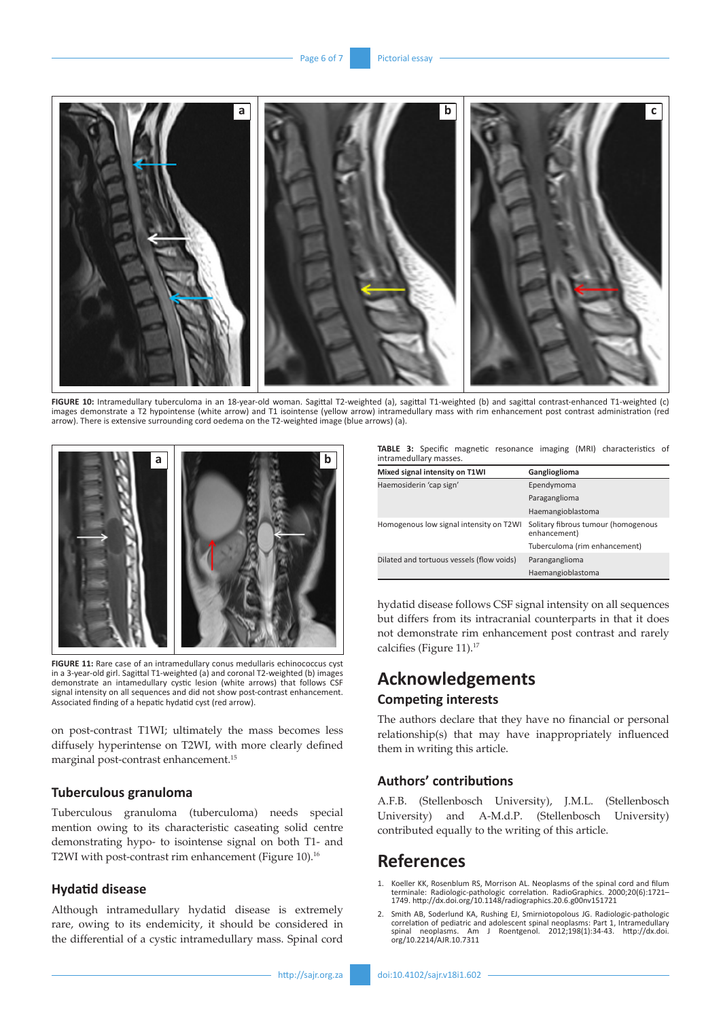

**FIGURE 10:** Intramedullary tuberculoma in an 18-year-old woman. Sagittal T2-weighted (a), sagittal T1-weighted (b) and sagittal contrast-enhanced T1-weighted (c) images demonstrate a T2 hypointense (white arrow) and T1 isointense (yellow arrow) intramedullary mass with rim enhancement post contrast administration (red arrow). There is extensive surrounding cord oedema on the T2-weighted image (blue arrows) (a).



**FIGURE 11:** Rare case of an intramedullary conus medullaris echinococcus cyst in a 3-year-old girl. Sagittal T1-weighted (a) and coronal T2-weighted (b) images demonstrate an intamedullary cystic lesion (white arrows) that follows CSF signal intensity on all sequences and did not show post-contrast enhancement. Associated finding of a hepatic hydatid cyst (red arrow).

on post-contrast T1WI; ultimately the mass becomes less diffusely hyperintense on T2WI, with more clearly defined marginal post-contrast enhancement.15

#### **Tuberculous granuloma**

Tuberculous granuloma (tuberculoma) needs special mention owing to its characteristic caseating solid centre demonstrating hypo- to isointense signal on both T1- and T2WI with post-contrast rim enhancement (Figure 10).<sup>16</sup>

### **Hydatid disease**

Although intramedullary hydatid disease is extremely rare, owing to its endemicity, it should be considered in the differential of a cystic intramedullary mass. Spinal cord

**TABLE 3:** Specific magnetic resonance imaging (MRI) characteristics of intramedullary masses.

| Mixed signal intensity on T1WI            | Ganglioglioma                                       |
|-------------------------------------------|-----------------------------------------------------|
| Haemosiderin 'cap sign'                   | Ependymoma                                          |
|                                           | Paraganglioma                                       |
|                                           | Haemangioblastoma                                   |
| Homogenous low signal intensity on T2WI   | Solitary fibrous tumour (homogenous<br>enhancement) |
|                                           | Tuberculoma (rim enhancement)                       |
| Dilated and tortuous vessels (flow voids) | Paranganglioma                                      |
|                                           | Haemangioblastoma                                   |

hydatid disease follows CSF signal intensity on all sequences but differs from its intracranial counterparts in that it does not demonstrate rim enhancement post contrast and rarely calcifies (Figure 11).<sup>17</sup>

## **Acknowledgements Competing interests**

The authors declare that they have no financial or personal relationship(s) that may have inappropriately influenced them in writing this article.

### **Authors' contributions**

A.F.B. (Stellenbosch University), J.M.L. (Stellenbosch University) and A-M.d.P. (Stellenbosch University) contributed equally to the writing of this article.

## **References**

- Koeller KK, Rosenblum RS, Morrison AL. Neoplasms of the spinal cord and filum terminale: Radiologic-pathologic correlation. RadioGraphics. 2000;20(6):1721– 1749. <http://dx.doi.org/10.1148/radiographics.20.6.g00nv151721>
- 2. Smith AB, Soderlund KA, Rushing EJ, Smirniotopolous JG. Radiologic-pathologic correlation of pediatric and adolescent spinal neoplasms: Part 1, Intramedullary spinal neoplasms. Am J Roentgenol. 2012;198(1):34-43. [http://dx.doi.](http://dx.doi.org/10.2214/AJR.10.7311) [org/10.2214/AJR.10.7311](http://dx.doi.org/10.2214/AJR.10.7311)